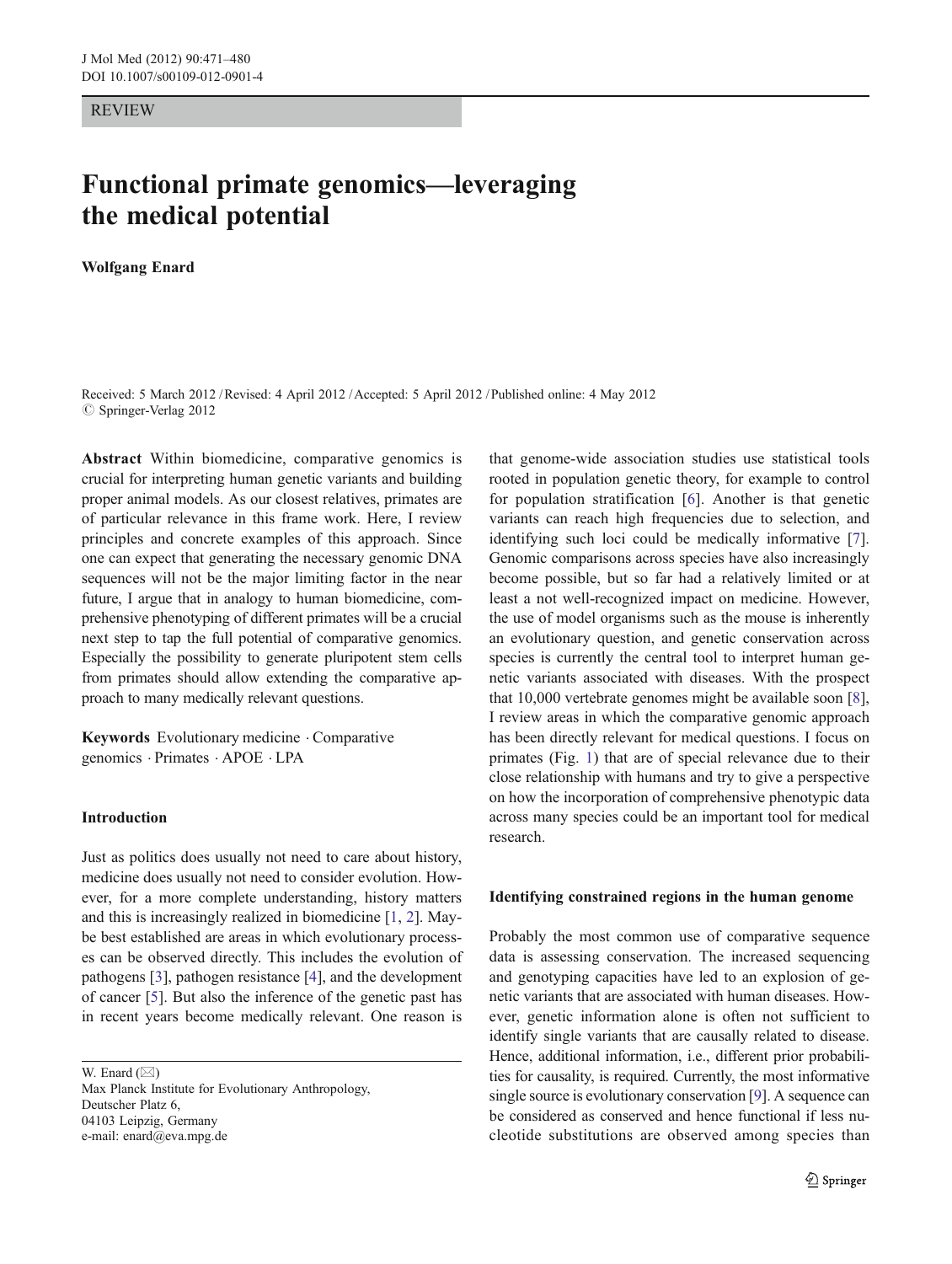**REVIEW** 

# Functional primate genomics—leveraging the medical potential

Wolfgang Enard

Received: 5 March 2012 /Revised: 4 April 2012 /Accepted: 5 April 2012 / Published online: 4 May 2012  $\circ$  Springer-Verlag 2012

Abstract Within biomedicine, comparative genomics is crucial for interpreting human genetic variants and building proper animal models. As our closest relatives, primates are of particular relevance in this frame work. Here, I review principles and concrete examples of this approach. Since one can expect that generating the necessary genomic DNA sequences will not be the major limiting factor in the near future, I argue that in analogy to human biomedicine, comprehensive phenotyping of different primates will be a crucial next step to tap the full potential of comparative genomics. Especially the possibility to generate pluripotent stem cells from primates should allow extending the comparative approach to many medically relevant questions.

Keywords Evolutionary medicine . Comparative genomics . Primates . APOE . LPA

# Introduction

Just as politics does usually not need to care about history, medicine does usually not need to consider evolution. However, for a more complete understanding, history matters and this is increasingly realized in biomedicine [\[1](#page-7-0), [2](#page-7-0)]. Maybe best established are areas in which evolutionary processes can be observed directly. This includes the evolution of pathogens [[3\]](#page-7-0), pathogen resistance [\[4](#page-7-0)], and the development of cancer [\[5](#page-7-0)]. But also the inference of the genetic past has in recent years become medically relevant. One reason is

W. Enard  $(\boxtimes)$ Max Planck Institute for Evolutionary Anthropology, Deutscher Platz 6, 04103 Leipzig, Germany e-mail: enard@eva.mpg.de

that genome-wide association studies use statistical tools rooted in population genetic theory, for example to control for population stratification [\[6](#page-7-0)]. Another is that genetic variants can reach high frequencies due to selection, and identifying such loci could be medically informative [[7\]](#page-7-0). Genomic comparisons across species have also increasingly become possible, but so far had a relatively limited or at least a not well-recognized impact on medicine. However, the use of model organisms such as the mouse is inherently an evolutionary question, and genetic conservation across species is currently the central tool to interpret human genetic variants associated with diseases. With the prospect that 10,000 vertebrate genomes might be available soon [[8\]](#page-7-0), I review areas in which the comparative genomic approach has been directly relevant for medical questions. I focus on primates (Fig. [1](#page-1-0)) that are of special relevance due to their close relationship with humans and try to give a perspective on how the incorporation of comprehensive phenotypic data across many species could be an important tool for medical research.

### Identifying constrained regions in the human genome

Probably the most common use of comparative sequence data is assessing conservation. The increased sequencing and genotyping capacities have led to an explosion of genetic variants that are associated with human diseases. However, genetic information alone is often not sufficient to identify single variants that are causally related to disease. Hence, additional information, i.e., different prior probabilities for causality, is required. Currently, the most informative single source is evolutionary conservation [[9\]](#page-7-0). A sequence can be considered as conserved and hence functional if less nucleotide substitutions are observed among species than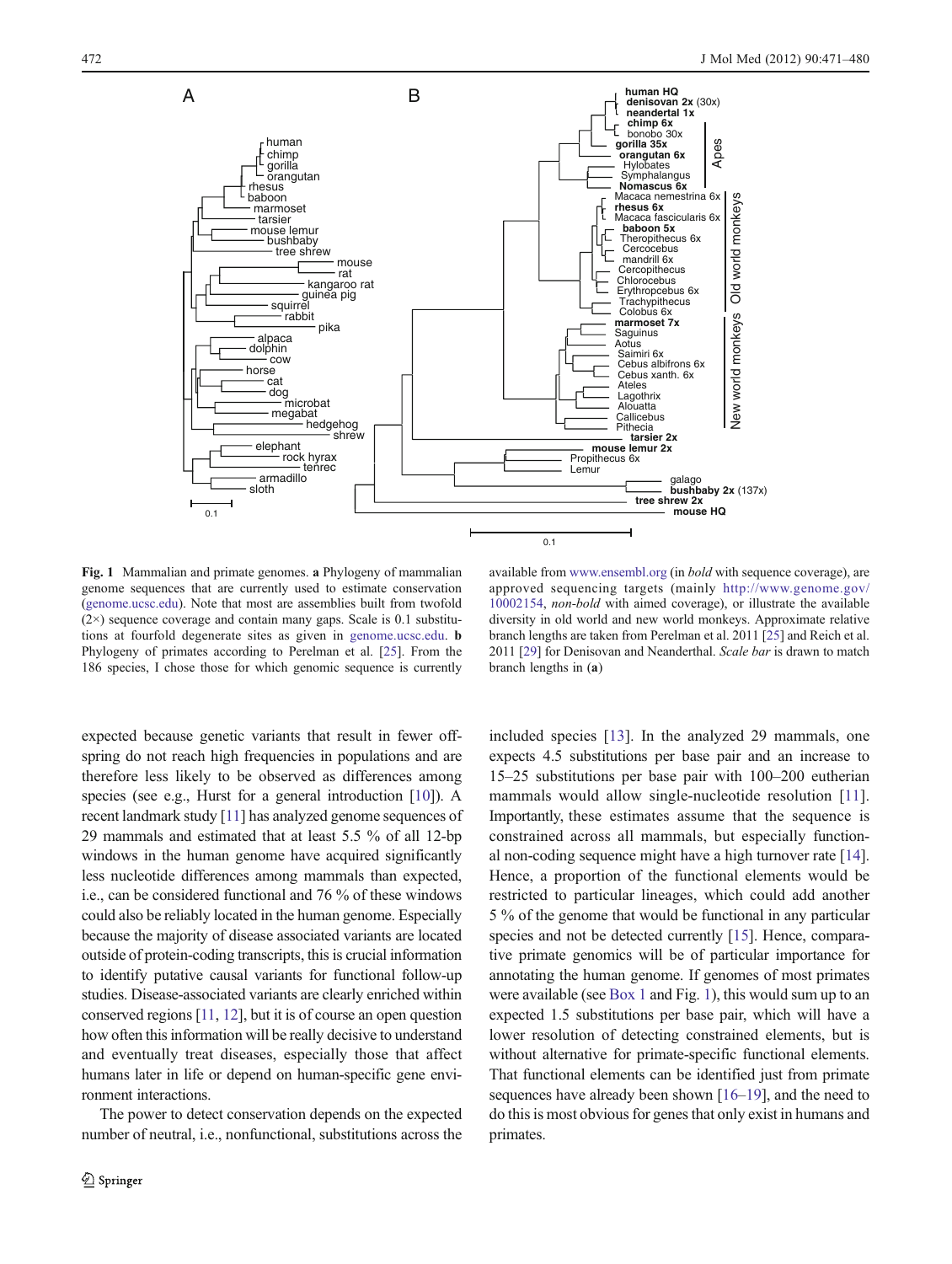<span id="page-1-0"></span>

Fig. 1 Mammalian and primate genomes. a Phylogeny of mammalian genome sequences that are currently used to estimate conservation ([genome.ucsc.edu\)](http://genome.ucsc.edu). Note that most are assemblies built from twofold  $(2\times)$  sequence coverage and contain many gaps. Scale is 0.1 substitutions at fourfold degenerate sites as given in [genome.ucsc.edu](http://genome.ucsc.edu). b Phylogeny of primates according to Perelman et al. [\[25\]](#page-7-0). From the 186 species, I chose those for which genomic sequence is currently

available from [www.ensembl.org](http://www.ensembl.org) (in bold with sequence coverage), are approved sequencing targets (mainly [http://www.genome.gov/](http://www.genome.gov/10002154) [10002154](http://www.genome.gov/10002154), non-bold with aimed coverage), or illustrate the available diversity in old world and new world monkeys. Approximate relative branch lengths are taken from Perelman et al. 2011 [[25](#page-7-0)] and Reich et al. 2011 [[29](#page-7-0)] for Denisovan and Neanderthal. Scale bar is drawn to match branch lengths in (a)

expected because genetic variants that result in fewer offspring do not reach high frequencies in populations and are therefore less likely to be observed as differences among species (see e.g., Hurst for a general introduction [\[10](#page-7-0)]). A recent landmark study [\[11\]](#page-7-0) has analyzed genome sequences of 29 mammals and estimated that at least 5.5 % of all 12-bp windows in the human genome have acquired significantly less nucleotide differences among mammals than expected, i.e., can be considered functional and 76 % of these windows could also be reliably located in the human genome. Especially because the majority of disease associated variants are located outside of protein-coding transcripts, this is crucial information to identify putative causal variants for functional follow-up studies. Disease-associated variants are clearly enriched within conserved regions [\[11,](#page-7-0) [12](#page-7-0)], but it is of course an open question how often this information will be really decisive to understand and eventually treat diseases, especially those that affect humans later in life or depend on human-specific gene environment interactions.

The power to detect conservation depends on the expected number of neutral, i.e., nonfunctional, substitutions across the included species [\[13](#page-7-0)]. In the analyzed 29 mammals, one expects 4.5 substitutions per base pair and an increase to 15–25 substitutions per base pair with 100–200 eutherian mammals would allow single-nucleotide resolution [[11](#page-7-0)]. Importantly, these estimates assume that the sequence is constrained across all mammals, but especially functional non-coding sequence might have a high turnover rate [[14\]](#page-7-0). Hence, a proportion of the functional elements would be restricted to particular lineages, which could add another 5 % of the genome that would be functional in any particular species and not be detected currently [[15\]](#page-7-0). Hence, comparative primate genomics will be of particular importance for annotating the human genome. If genomes of most primates were available (see [Box 1](#page-2-0) and Fig. 1), this would sum up to an expected 1.5 substitutions per base pair, which will have a lower resolution of detecting constrained elements, but is without alternative for primate-specific functional elements. That functional elements can be identified just from primate sequences have already been shown [\[16](#page-7-0)–[19\]](#page-7-0), and the need to do this is most obvious for genes that only exist in humans and primates.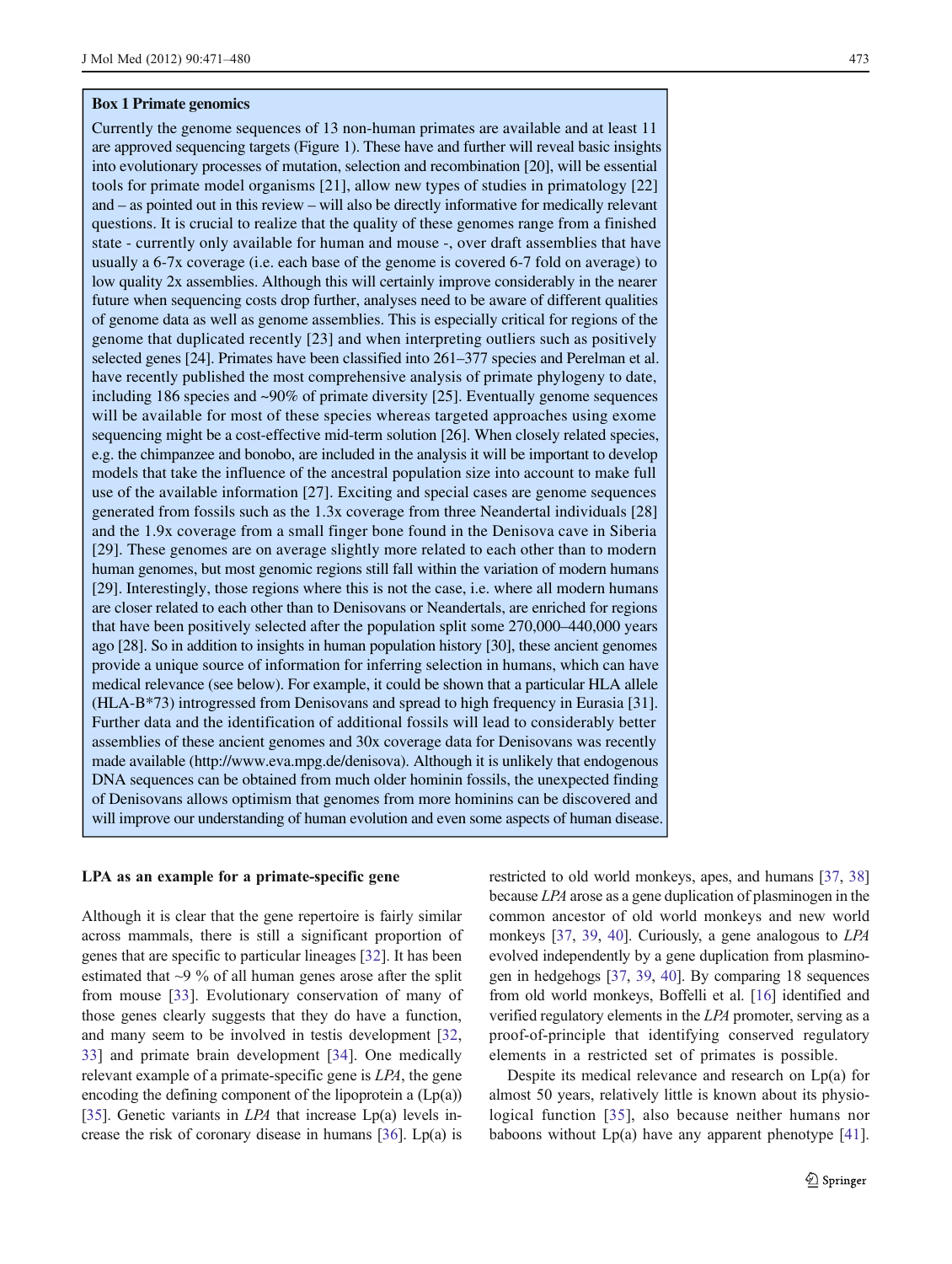#### <span id="page-2-0"></span>**Box 1 Primate genomics**

Currently the genome sequences of 13 non-human primates are available and at least 11 are approved sequencing targets (Figure 1). These have and further will reveal basic insights into evolutionary processes of mutation, selection and recombination [20], will be essential tools for primate model organisms [21], allow new types of studies in primatology [22] and – as pointed out in this review – will also be directly informative for medically relevant questions. It is crucial to realize that the quality of these genomes range from a finished state - currently only available for human and mouse -, over draft assemblies that have usually a 6-7x coverage (i.e. each base of the genome is covered 6-7 fold on average) to low quality 2x assemblies. Although this will certainly improve considerably in the nearer future when sequencing costs drop further, analyses need to be aware of different qualities of genome data as well as genome assemblies. This is especially critical for regions of the genome that duplicated recently [23] and when interpreting outliers such as positively selected genes [24]. Primates have been classified into 261–377 species and Perelman et al. have recently published the most comprehensive analysis of primate phylogeny to date, including 186 species and ~90% of primate diversity [25]. Eventually genome sequences will be available for most of these species whereas targeted approaches using exome sequencing might be a cost-effective mid-term solution [26]. When closely related species, e.g. the chimpanzee and bonobo, are included in the analysis it will be important to develop models that take the influence of the ancestral population size into account to make full use of the available information [27]. Exciting and special cases are genome sequences generated from fossils such as the 1.3x coverage from three Neandertal individuals [28] and the 1.9x coverage from a small finger bone found in the Denisova cave in Siberia [29]. These genomes are on average slightly more related to each other than to modern human genomes, but most genomic regions still fall within the variation of modern humans [29]. Interestingly, those regions where this is not the case, i.e. where all modern humans are closer related to each other than to Denisovans or Neandertals, are enriched for regions that have been positively selected after the population split some 270,000–440,000 years ago [28]. So in addition to insights in human population history [30], these ancient genomes provide a unique source of information for inferring selection in humans, which can have medical relevance (see below). For example, it could be shown that a particular HLA allele (HLA-B\*73) introgressed from Denisovans and spread to high frequency in Eurasia [31]. Further data and the identification of additional fossils will lead to considerably better assemblies of these ancient genomes and 30x coverage data for Denisovans was recently made available (http://www.eva.mpg.de/denisova). Although it is unlikely that endogenous DNA sequences can be obtained from much older hominin fossils, the unexpected finding of Denisovans allows optimism that genomes from more hominins can be discovered and will improve our understanding of human evolution and even some aspects of human disease.

#### LPA as an example for a primate-specific gene

Although it is clear that the gene repertoire is fairly similar across mammals, there is still a significant proportion of genes that are specific to particular lineages [\[32](#page-8-0)]. It has been estimated that  $\sim$ 9 % of all human genes arose after the split from mouse [[33\]](#page-8-0). Evolutionary conservation of many of those genes clearly suggests that they do have a function, and many seem to be involved in testis development [[32,](#page-8-0) [33](#page-8-0)] and primate brain development [[34](#page-8-0)]. One medically relevant example of a primate-specific gene is LPA, the gene encoding the defining component of the lipoprotein a  $(Lp(a))$ [\[35\]](#page-8-0). Genetic variants in  $LPA$  that increase  $Lp(a)$  levels increase the risk of coronary disease in humans [\[36](#page-8-0)]. Lp(a) is

restricted to old world monkeys, apes, and humans [[37](#page-8-0), [38\]](#page-8-0) because LPA arose as a gene duplication of plasminogen in the common ancestor of old world monkeys and new world monkeys [\[37](#page-8-0), [39](#page-8-0), [40](#page-8-0)]. Curiously, a gene analogous to LPA evolved independently by a gene duplication from plasminogen in hedgehogs [[37](#page-8-0), [39,](#page-8-0) [40](#page-8-0)]. By comparing 18 sequences from old world monkeys, Boffelli et al. [[16\]](#page-7-0) identified and verified regulatory elements in the LPA promoter, serving as a proof-of-principle that identifying conserved regulatory elements in a restricted set of primates is possible.

Despite its medical relevance and research on Lp(a) for almost 50 years, relatively little is known about its physiological function [\[35\]](#page-8-0), also because neither humans nor baboons without Lp(a) have any apparent phenotype [[41\]](#page-8-0).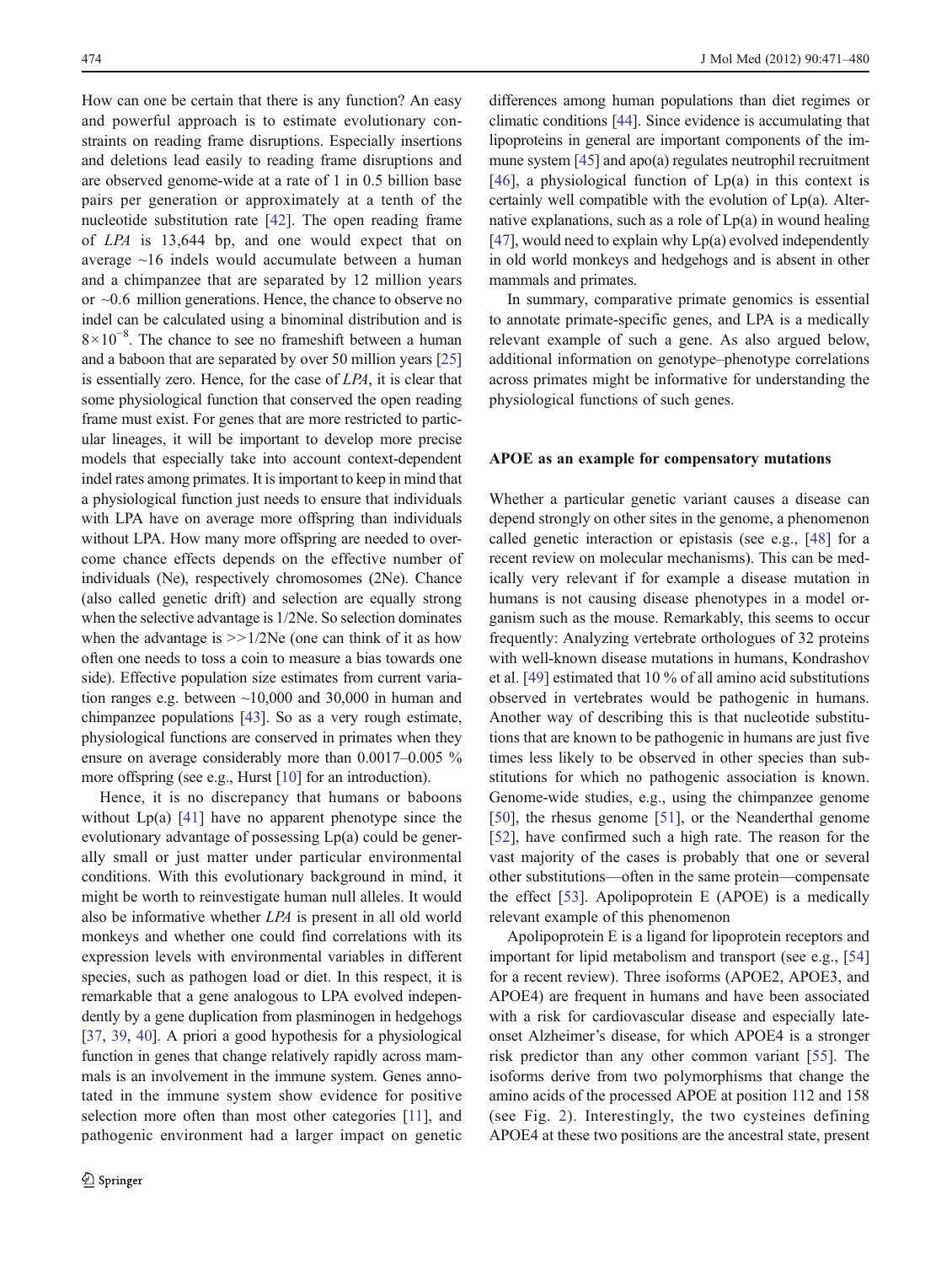How can one be certain that there is any function? An easy and powerful approach is to estimate evolutionary constraints on reading frame disruptions. Especially insertions and deletions lead easily to reading frame disruptions and are observed genome-wide at a rate of 1 in 0.5 billion base pairs per generation or approximately at a tenth of the nucleotide substitution rate [\[42](#page-8-0)]. The open reading frame of LPA is 13,644 bp, and one would expect that on average ~16 indels would accumulate between a human and a chimpanzee that are separated by 12 million years or ~0.6 million generations. Hence, the chance to observe no indel can be calculated using a binominal distribution and is 8×10<sup>-8</sup>. The chance to see no frameshift between a human and a baboon that are separated by over 50 million years [\[25\]](#page-7-0) is essentially zero. Hence, for the case of LPA, it is clear that some physiological function that conserved the open reading frame must exist. For genes that are more restricted to particular lineages, it will be important to develop more precise models that especially take into account context-dependent indel rates among primates. It is important to keep in mind that a physiological function just needs to ensure that individuals with LPA have on average more offspring than individuals without LPA. How many more offspring are needed to overcome chance effects depends on the effective number of individuals (Ne), respectively chromosomes (2Ne). Chance (also called genetic drift) and selection are equally strong when the selective advantage is 1/2Ne. So selection dominates when the advantage is  $>>1/2$ Ne (one can think of it as how often one needs to toss a coin to measure a bias towards one side). Effective population size estimates from current variation ranges e.g. between ~10,000 and 30,000 in human and chimpanzee populations [\[43](#page-8-0)]. So as a very rough estimate, physiological functions are conserved in primates when they ensure on average considerably more than 0.0017–0.005 % more offspring (see e.g., Hurst [[10\]](#page-7-0) for an introduction).

Hence, it is no discrepancy that humans or baboons without  $Lp(a)$  [[41\]](#page-8-0) have no apparent phenotype since the evolutionary advantage of possessing Lp(a) could be generally small or just matter under particular environmental conditions. With this evolutionary background in mind, it might be worth to reinvestigate human null alleles. It would also be informative whether LPA is present in all old world monkeys and whether one could find correlations with its expression levels with environmental variables in different species, such as pathogen load or diet. In this respect, it is remarkable that a gene analogous to LPA evolved independently by a gene duplication from plasminogen in hedgehogs [\[37,](#page-8-0) [39,](#page-8-0) [40](#page-8-0)]. A priori a good hypothesis for a physiological function in genes that change relatively rapidly across mammals is an involvement in the immune system. Genes annotated in the immune system show evidence for positive selection more often than most other categories [\[11\]](#page-7-0), and pathogenic environment had a larger impact on genetic differences among human populations than diet regimes or climatic conditions [\[44\]](#page-8-0). Since evidence is accumulating that lipoproteins in general are important components of the immune system [\[45](#page-8-0)] and apo(a) regulates neutrophil recruitment [\[46](#page-8-0)], a physiological function of  $Lp(a)$  in this context is certainly well compatible with the evolution of Lp(a). Alternative explanations, such as a role of Lp(a) in wound healing [\[47](#page-8-0)], would need to explain why  $Lp(a)$  evolved independently in old world monkeys and hedgehogs and is absent in other mammals and primates.

In summary, comparative primate genomics is essential to annotate primate-specific genes, and LPA is a medically relevant example of such a gene. As also argued below, additional information on genotype–phenotype correlations across primates might be informative for understanding the physiological functions of such genes.

#### APOE as an example for compensatory mutations

Whether a particular genetic variant causes a disease can depend strongly on other sites in the genome, a phenomenon called genetic interaction or epistasis (see e.g., [[48\]](#page-8-0) for a recent review on molecular mechanisms). This can be medically very relevant if for example a disease mutation in humans is not causing disease phenotypes in a model organism such as the mouse. Remarkably, this seems to occur frequently: Analyzing vertebrate orthologues of 32 proteins with well-known disease mutations in humans, Kondrashov et al. [[49\]](#page-8-0) estimated that 10 % of all amino acid substitutions observed in vertebrates would be pathogenic in humans. Another way of describing this is that nucleotide substitutions that are known to be pathogenic in humans are just five times less likely to be observed in other species than substitutions for which no pathogenic association is known. Genome-wide studies, e.g., using the chimpanzee genome [\[50](#page-8-0)], the rhesus genome [[51\]](#page-8-0), or the Neanderthal genome [\[52](#page-8-0)], have confirmed such a high rate. The reason for the vast majority of the cases is probably that one or several other substitutions—often in the same protein—compensate the effect [[53\]](#page-8-0). Apolipoprotein E (APOE) is a medically relevant example of this phenomenon

Apolipoprotein E is a ligand for lipoprotein receptors and important for lipid metabolism and transport (see e.g., [\[54](#page-8-0)] for a recent review). Three isoforms (APOE2, APOE3, and APOE4) are frequent in humans and have been associated with a risk for cardiovascular disease and especially lateonset Alzheimer's disease, for which APOE4 is a stronger risk predictor than any other common variant [\[55](#page-8-0)]. The isoforms derive from two polymorphisms that change the amino acids of the processed APOE at position 112 and 158 (see Fig. [2](#page-4-0)). Interestingly, the two cysteines defining APOE4 at these two positions are the ancestral state, present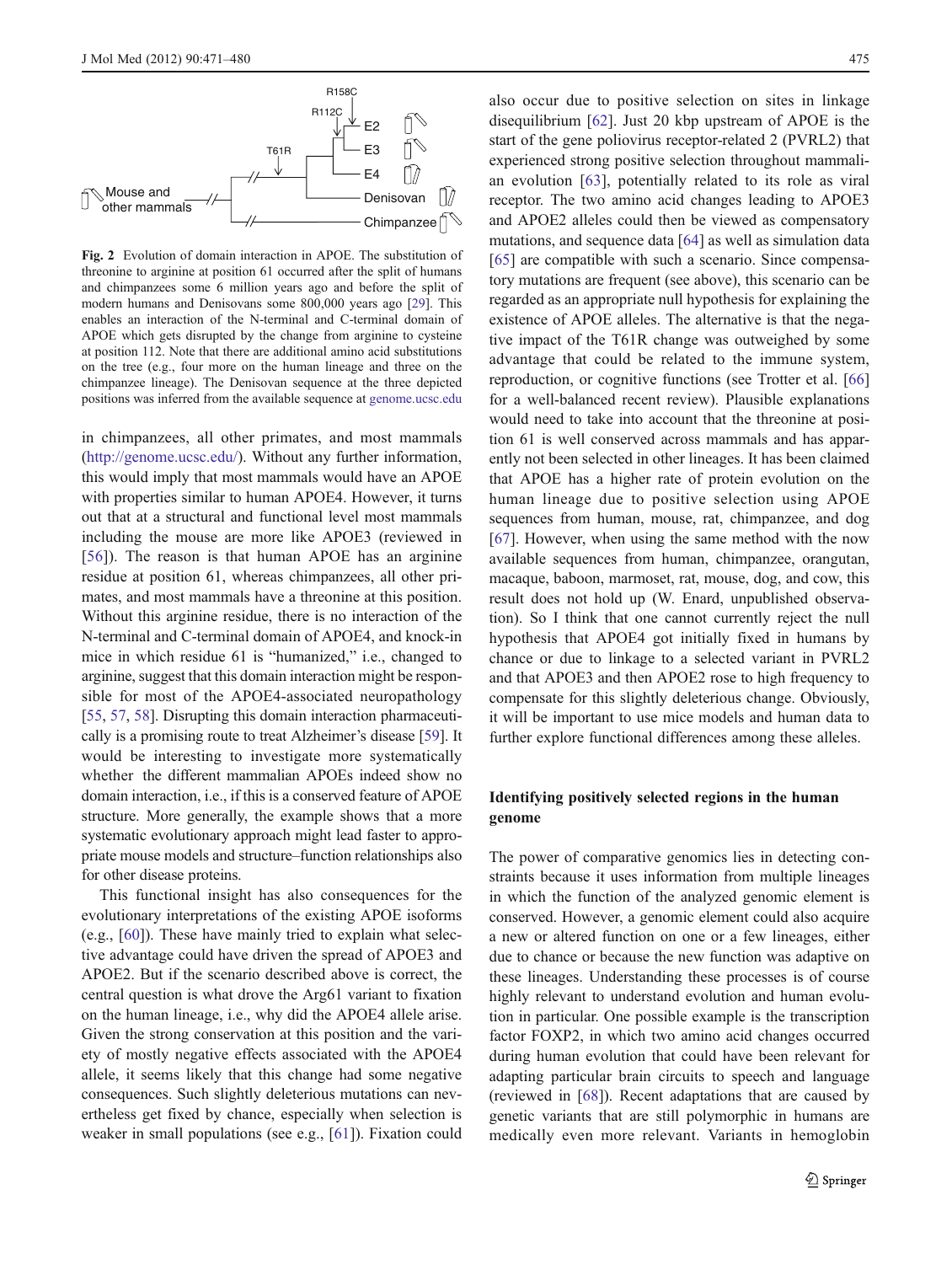<span id="page-4-0"></span>

Fig. 2 Evolution of domain interaction in APOE. The substitution of threonine to arginine at position 61 occurred after the split of humans and chimpanzees some 6 million years ago and before the split of modern humans and Denisovans some 800,000 years ago [[29](#page-7-0)]. This enables an interaction of the N-terminal and C-terminal domain of APOE which gets disrupted by the change from arginine to cysteine at position 112. Note that there are additional amino acid substitutions on the tree (e.g., four more on the human lineage and three on the chimpanzee lineage). The Denisovan sequence at the three depicted positions was inferred from the available sequence at [genome.ucsc.edu](http://genome.ucsc.edu)

in chimpanzees, all other primates, and most mammals [\(http://genome.ucsc.edu/\)](http://genome.ucsc.edu/). Without any further information, this would imply that most mammals would have an APOE with properties similar to human APOE4. However, it turns out that at a structural and functional level most mammals including the mouse are more like APOE3 (reviewed in [\[56\]](#page-8-0)). The reason is that human APOE has an arginine residue at position 61, whereas chimpanzees, all other primates, and most mammals have a threonine at this position. Without this arginine residue, there is no interaction of the N-terminal and C-terminal domain of APOE4, and knock-in mice in which residue 61 is "humanized," i.e., changed to arginine, suggest that this domain interaction might be responsible for most of the APOE4-associated neuropathology [\[55,](#page-8-0) [57,](#page-8-0) [58\]](#page-8-0). Disrupting this domain interaction pharmaceutically is a promising route to treat Alzheimer's disease [\[59](#page-8-0)]. It would be interesting to investigate more systematically whether the different mammalian APOEs indeed show no domain interaction, i.e., if this is a conserved feature of APOE structure. More generally, the example shows that a more systematic evolutionary approach might lead faster to appropriate mouse models and structure–function relationships also for other disease proteins.

This functional insight has also consequences for the evolutionary interpretations of the existing APOE isoforms (e.g., [[60\]](#page-8-0)). These have mainly tried to explain what selective advantage could have driven the spread of APOE3 and APOE2. But if the scenario described above is correct, the central question is what drove the Arg61 variant to fixation on the human lineage, i.e., why did the APOE4 allele arise. Given the strong conservation at this position and the variety of mostly negative effects associated with the APOE4 allele, it seems likely that this change had some negative consequences. Such slightly deleterious mutations can nevertheless get fixed by chance, especially when selection is weaker in small populations (see e.g., [\[61](#page-8-0)]). Fixation could also occur due to positive selection on sites in linkage disequilibrium [[62\]](#page-8-0). Just 20 kbp upstream of APOE is the start of the gene poliovirus receptor-related 2 (PVRL2) that experienced strong positive selection throughout mammalian evolution [\[63](#page-8-0)], potentially related to its role as viral receptor. The two amino acid changes leading to APOE3 and APOE2 alleles could then be viewed as compensatory mutations, and sequence data [[64](#page-8-0)] as well as simulation data [\[65](#page-8-0)] are compatible with such a scenario. Since compensatory mutations are frequent (see above), this scenario can be regarded as an appropriate null hypothesis for explaining the existence of APOE alleles. The alternative is that the negative impact of the T61R change was outweighed by some advantage that could be related to the immune system, reproduction, or cognitive functions (see Trotter et al. [\[66](#page-8-0)] for a well-balanced recent review). Plausible explanations would need to take into account that the threonine at position 61 is well conserved across mammals and has apparently not been selected in other lineages. It has been claimed that APOE has a higher rate of protein evolution on the human lineage due to positive selection using APOE sequences from human, mouse, rat, chimpanzee, and dog [\[67](#page-8-0)]. However, when using the same method with the now available sequences from human, chimpanzee, orangutan, macaque, baboon, marmoset, rat, mouse, dog, and cow, this result does not hold up (W. Enard, unpublished observation). So I think that one cannot currently reject the null hypothesis that APOE4 got initially fixed in humans by chance or due to linkage to a selected variant in PVRL2 and that APOE3 and then APOE2 rose to high frequency to compensate for this slightly deleterious change. Obviously, it will be important to use mice models and human data to further explore functional differences among these alleles.

## Identifying positively selected regions in the human genome

The power of comparative genomics lies in detecting constraints because it uses information from multiple lineages in which the function of the analyzed genomic element is conserved. However, a genomic element could also acquire a new or altered function on one or a few lineages, either due to chance or because the new function was adaptive on these lineages. Understanding these processes is of course highly relevant to understand evolution and human evolution in particular. One possible example is the transcription factor FOXP2, in which two amino acid changes occurred during human evolution that could have been relevant for adapting particular brain circuits to speech and language (reviewed in [[68\]](#page-8-0)). Recent adaptations that are caused by genetic variants that are still polymorphic in humans are medically even more relevant. Variants in hemoglobin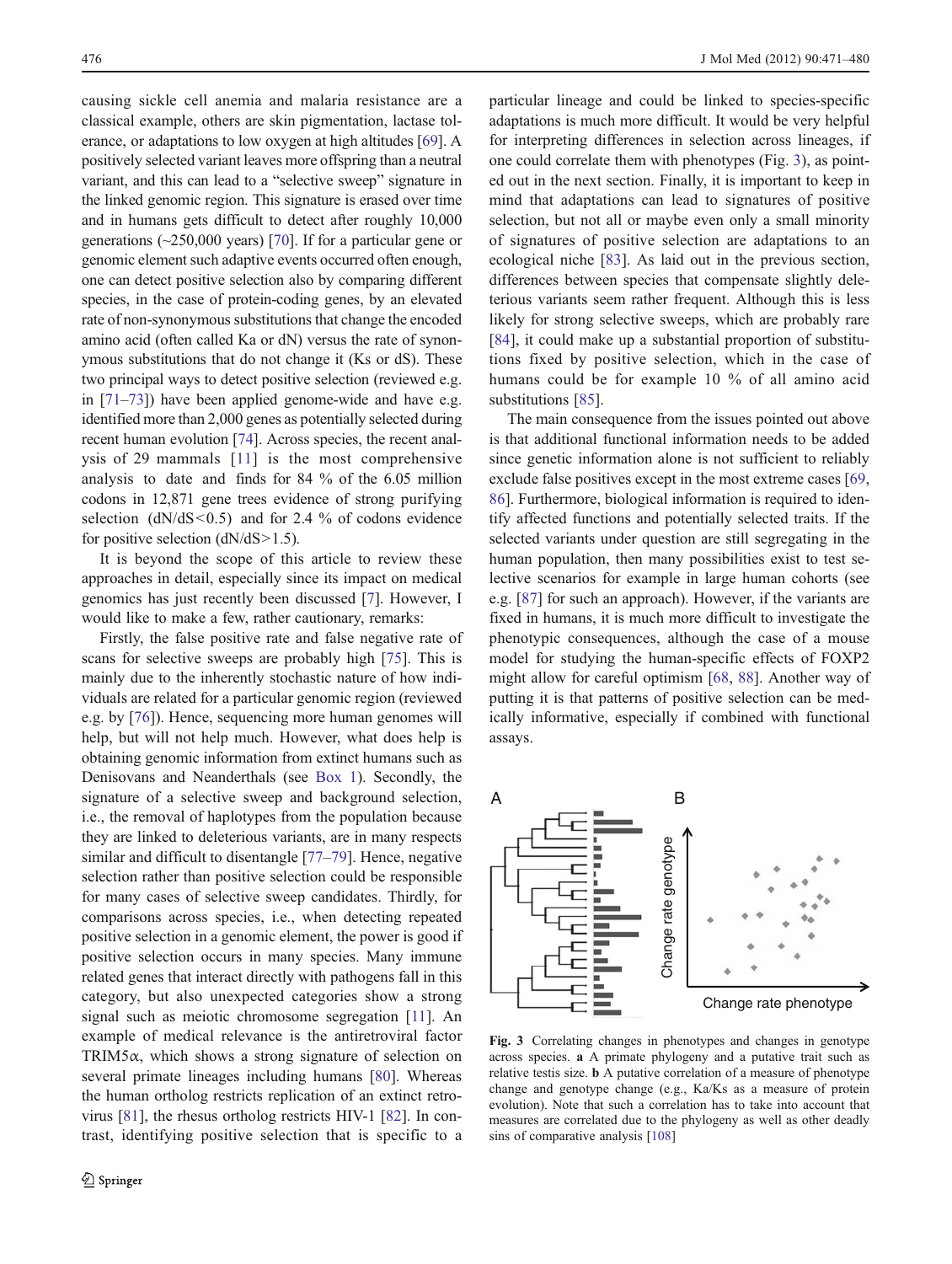<span id="page-5-0"></span>causing sickle cell anemia and malaria resistance are a classical example, others are skin pigmentation, lactase tolerance, or adaptations to low oxygen at high altitudes [\[69\]](#page-8-0). A positively selected variant leaves more offspring than a neutral variant, and this can lead to a "selective sweep" signature in the linked genomic region. This signature is erased over time and in humans gets difficult to detect after roughly 10,000 generations  $(\sim 250,000$  years) [\[70\]](#page-8-0). If for a particular gene or genomic element such adaptive events occurred often enough, one can detect positive selection also by comparing different species, in the case of protein-coding genes, by an elevated rate of non-synonymous substitutions that change the encoded amino acid (often called Ka or dN) versus the rate of synonymous substitutions that do not change it (Ks or dS). These two principal ways to detect positive selection (reviewed e.g. in [[71](#page-8-0)–[73](#page-9-0)]) have been applied genome-wide and have e.g. identified more than 2,000 genes as potentially selected during recent human evolution [[74\]](#page-9-0). Across species, the recent analysis of 29 mammals [[11](#page-7-0)] is the most comprehensive analysis to date and finds for 84 % of the 6.05 million codons in 12,871 gene trees evidence of strong purifying selection ( $dN/dS < 0.5$ ) and for 2.4 % of codons evidence for positive selection  $(dN/dS>1.5)$ .

It is beyond the scope of this article to review these approaches in detail, especially since its impact on medical genomics has just recently been discussed [[7\]](#page-7-0). However, I would like to make a few, rather cautionary, remarks:

Firstly, the false positive rate and false negative rate of scans for selective sweeps are probably high [[75\]](#page-9-0). This is mainly due to the inherently stochastic nature of how individuals are related for a particular genomic region (reviewed e.g. by [[76\]](#page-9-0)). Hence, sequencing more human genomes will help, but will not help much. However, what does help is obtaining genomic information from extinct humans such as Denisovans and Neanderthals (see [Box 1\)](#page-2-0). Secondly, the signature of a selective sweep and background selection, i.e., the removal of haplotypes from the population because they are linked to deleterious variants, are in many respects similar and difficult to disentangle [\[77](#page-9-0)–[79](#page-9-0)]. Hence, negative selection rather than positive selection could be responsible for many cases of selective sweep candidates. Thirdly, for comparisons across species, i.e., when detecting repeated positive selection in a genomic element, the power is good if positive selection occurs in many species. Many immune related genes that interact directly with pathogens fall in this category, but also unexpected categories show a strong signal such as meiotic chromosome segregation [\[11\]](#page-7-0). An example of medical relevance is the antiretroviral factor TRIM5 $\alpha$ , which shows a strong signature of selection on several primate lineages including humans [[80\]](#page-9-0). Whereas the human ortholog restricts replication of an extinct retrovirus [\[81](#page-9-0)], the rhesus ortholog restricts HIV-1 [\[82](#page-9-0)]. In contrast, identifying positive selection that is specific to a

particular lineage and could be linked to species-specific adaptations is much more difficult. It would be very helpful for interpreting differences in selection across lineages, if one could correlate them with phenotypes (Fig. 3), as pointed out in the next section. Finally, it is important to keep in mind that adaptations can lead to signatures of positive selection, but not all or maybe even only a small minority of signatures of positive selection are adaptations to an ecological niche [[83\]](#page-9-0). As laid out in the previous section, differences between species that compensate slightly deleterious variants seem rather frequent. Although this is less likely for strong selective sweeps, which are probably rare [\[84](#page-9-0)], it could make up a substantial proportion of substitutions fixed by positive selection, which in the case of humans could be for example 10 % of all amino acid substitutions [\[85](#page-9-0)].

The main consequence from the issues pointed out above is that additional functional information needs to be added since genetic information alone is not sufficient to reliably exclude false positives except in the most extreme cases [[69,](#page-8-0) [86](#page-9-0)]. Furthermore, biological information is required to identify affected functions and potentially selected traits. If the selected variants under question are still segregating in the human population, then many possibilities exist to test selective scenarios for example in large human cohorts (see e.g. [\[87](#page-9-0)] for such an approach). However, if the variants are fixed in humans, it is much more difficult to investigate the phenotypic consequences, although the case of a mouse model for studying the human-specific effects of FOXP2 might allow for careful optimism [\[68](#page-8-0), [88\]](#page-9-0). Another way of putting it is that patterns of positive selection can be medically informative, especially if combined with functional assays.



Fig. 3 Correlating changes in phenotypes and changes in genotype across species. a A primate phylogeny and a putative trait such as relative testis size. b A putative correlation of a measure of phenotype change and genotype change (e.g., Ka/Ks as a measure of protein evolution). Note that such a correlation has to take into account that measures are correlated due to the phylogeny as well as other deadly sins of comparative analysis [\[108](#page-9-0)]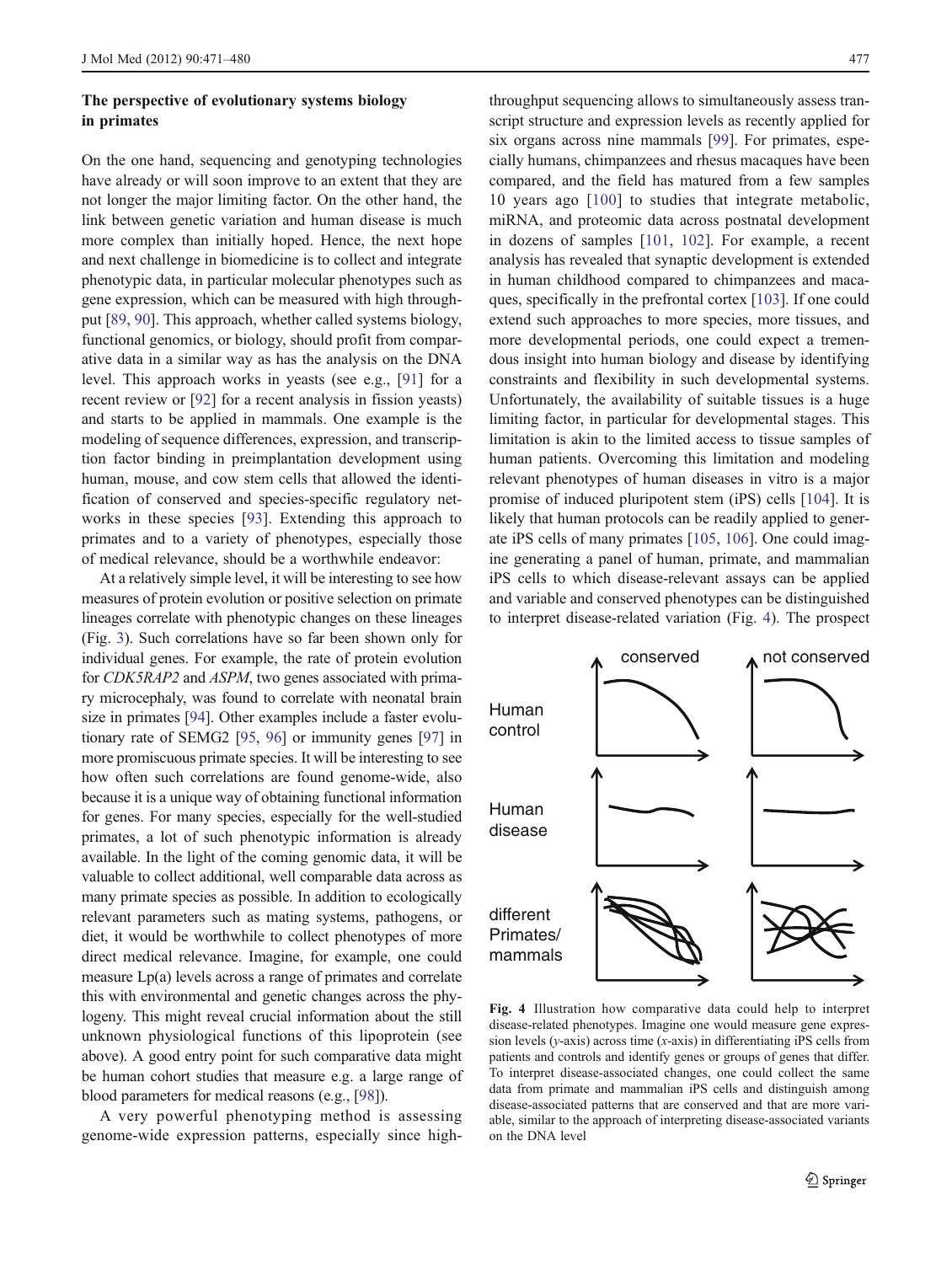## The perspective of evolutionary systems biology in primates

On the one hand, sequencing and genotyping technologies have already or will soon improve to an extent that they are not longer the major limiting factor. On the other hand, the link between genetic variation and human disease is much more complex than initially hoped. Hence, the next hope and next challenge in biomedicine is to collect and integrate phenotypic data, in particular molecular phenotypes such as gene expression, which can be measured with high throughput [\[89](#page-9-0), [90](#page-9-0)]. This approach, whether called systems biology, functional genomics, or biology, should profit from comparative data in a similar way as has the analysis on the DNA level. This approach works in yeasts (see e.g., [[91\]](#page-9-0) for a recent review or [\[92](#page-9-0)] for a recent analysis in fission yeasts) and starts to be applied in mammals. One example is the modeling of sequence differences, expression, and transcription factor binding in preimplantation development using human, mouse, and cow stem cells that allowed the identification of conserved and species-specific regulatory networks in these species [\[93\]](#page-9-0). Extending this approach to primates and to a variety of phenotypes, especially those of medical relevance, should be a worthwhile endeavor:

At a relatively simple level, it will be interesting to see how measures of protein evolution or positive selection on primate lineages correlate with phenotypic changes on these lineages (Fig. [3\)](#page-5-0). Such correlations have so far been shown only for individual genes. For example, the rate of protein evolution for CDK5RAP2 and ASPM, two genes associated with primary microcephaly, was found to correlate with neonatal brain size in primates [[94](#page-9-0)]. Other examples include a faster evolutionary rate of SEMG2 [[95](#page-9-0), [96](#page-9-0)] or immunity genes [[97\]](#page-9-0) in more promiscuous primate species. It will be interesting to see how often such correlations are found genome-wide, also because it is a unique way of obtaining functional information for genes. For many species, especially for the well-studied primates, a lot of such phenotypic information is already available. In the light of the coming genomic data, it will be valuable to collect additional, well comparable data across as many primate species as possible. In addition to ecologically relevant parameters such as mating systems, pathogens, or diet, it would be worthwhile to collect phenotypes of more direct medical relevance. Imagine, for example, one could measure Lp(a) levels across a range of primates and correlate this with environmental and genetic changes across the phylogeny. This might reveal crucial information about the still unknown physiological functions of this lipoprotein (see above). A good entry point for such comparative data might be human cohort studies that measure e.g. a large range of blood parameters for medical reasons (e.g., [[98](#page-9-0)]).

A very powerful phenotyping method is assessing genome-wide expression patterns, especially since high-

throughput sequencing allows to simultaneously assess transcript structure and expression levels as recently applied for six organs across nine mammals [\[99](#page-9-0)]. For primates, especially humans, chimpanzees and rhesus macaques have been compared, and the field has matured from a few samples 10 years ago [[100](#page-9-0)] to studies that integrate metabolic, miRNA, and proteomic data across postnatal development in dozens of samples [[101,](#page-9-0) [102](#page-9-0)]. For example, a recent analysis has revealed that synaptic development is extended in human childhood compared to chimpanzees and macaques, specifically in the prefrontal cortex [\[103](#page-9-0)]. If one could extend such approaches to more species, more tissues, and more developmental periods, one could expect a tremendous insight into human biology and disease by identifying constraints and flexibility in such developmental systems. Unfortunately, the availability of suitable tissues is a huge limiting factor, in particular for developmental stages. This limitation is akin to the limited access to tissue samples of human patients. Overcoming this limitation and modeling relevant phenotypes of human diseases in vitro is a major promise of induced pluripotent stem (iPS) cells [\[104](#page-9-0)]. It is likely that human protocols can be readily applied to generate iPS cells of many primates [\[105](#page-9-0), [106\]](#page-9-0). One could imagine generating a panel of human, primate, and mammalian iPS cells to which disease-relevant assays can be applied and variable and conserved phenotypes can be distinguished to interpret disease-related variation (Fig. 4). The prospect



Fig. 4 Illustration how comparative data could help to interpret disease-related phenotypes. Imagine one would measure gene expression levels ( $v$ -axis) across time ( $x$ -axis) in differentiating iPS cells from patients and controls and identify genes or groups of genes that differ. To interpret disease-associated changes, one could collect the same data from primate and mammalian iPS cells and distinguish among disease-associated patterns that are conserved and that are more variable, similar to the approach of interpreting disease-associated variants on the DNA level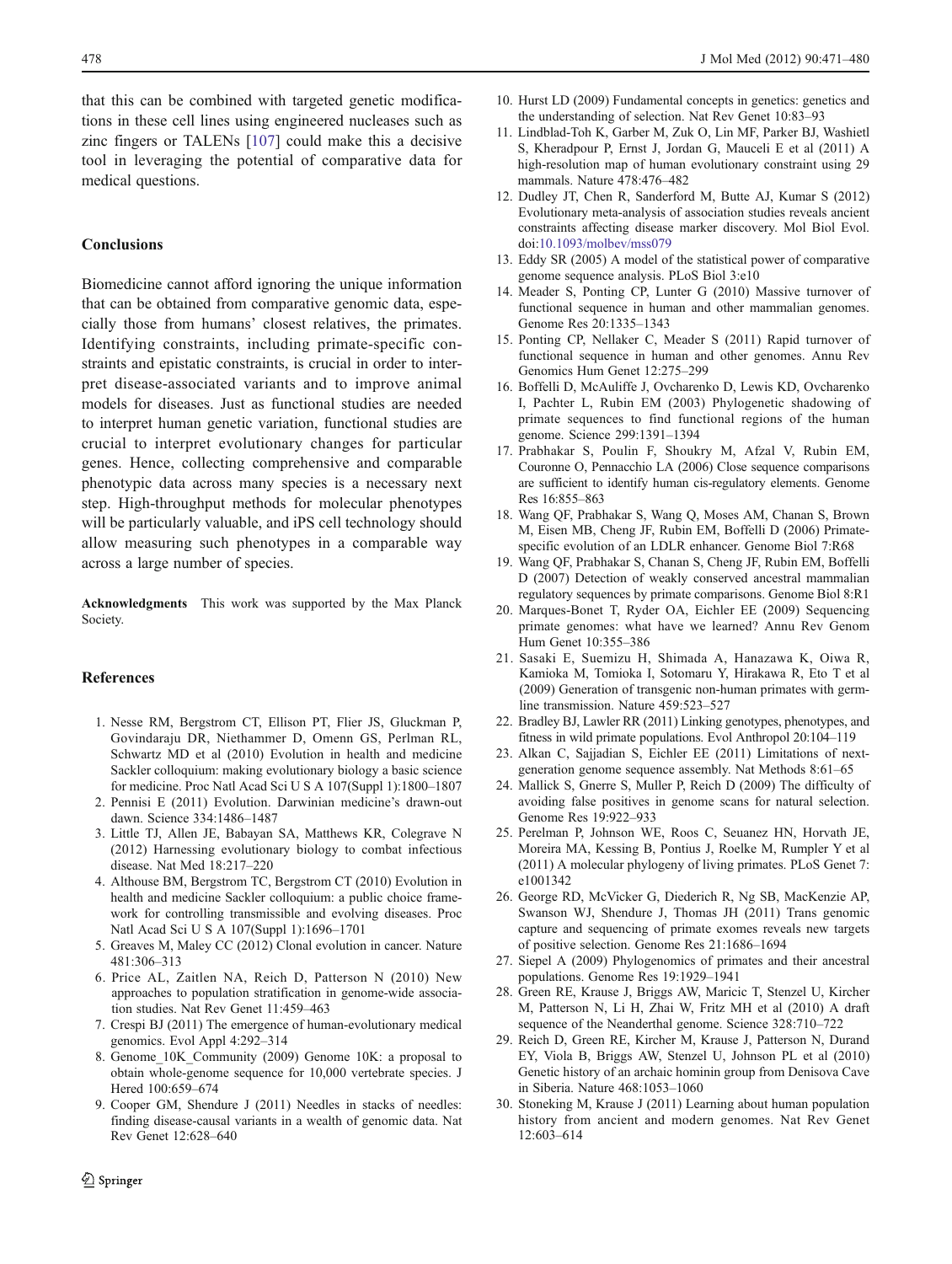<span id="page-7-0"></span>that this can be combined with targeted genetic modifications in these cell lines using engineered nucleases such as zinc fingers or TALENs [\[107](#page-9-0)] could make this a decisive tool in leveraging the potential of comparative data for medical questions.

## Conclusions

Biomedicine cannot afford ignoring the unique information that can be obtained from comparative genomic data, especially those from humans' closest relatives, the primates. Identifying constraints, including primate-specific constraints and epistatic constraints, is crucial in order to interpret disease-associated variants and to improve animal models for diseases. Just as functional studies are needed to interpret human genetic variation, functional studies are crucial to interpret evolutionary changes for particular genes. Hence, collecting comprehensive and comparable phenotypic data across many species is a necessary next step. High-throughput methods for molecular phenotypes will be particularly valuable, and iPS cell technology should allow measuring such phenotypes in a comparable way across a large number of species.

Acknowledgments This work was supported by the Max Planck Society.

## References

- 1. Nesse RM, Bergstrom CT, Ellison PT, Flier JS, Gluckman P, Govindaraju DR, Niethammer D, Omenn GS, Perlman RL, Schwartz MD et al (2010) Evolution in health and medicine Sackler colloquium: making evolutionary biology a basic science for medicine. Proc Natl Acad Sci U S A 107(Suppl 1):1800–1807
- 2. Pennisi E (2011) Evolution. Darwinian medicine's drawn-out dawn. Science 334:1486–1487
- 3. Little TJ, Allen JE, Babayan SA, Matthews KR, Colegrave N (2012) Harnessing evolutionary biology to combat infectious disease. Nat Med 18:217–220
- 4. Althouse BM, Bergstrom TC, Bergstrom CT (2010) Evolution in health and medicine Sackler colloquium: a public choice framework for controlling transmissible and evolving diseases. Proc Natl Acad Sci U S A 107(Suppl 1):1696–1701
- 5. Greaves M, Maley CC (2012) Clonal evolution in cancer. Nature 481:306–313
- 6. Price AL, Zaitlen NA, Reich D, Patterson N (2010) New approaches to population stratification in genome-wide association studies. Nat Rev Genet 11:459–463
- 7. Crespi BJ (2011) The emergence of human-evolutionary medical genomics. Evol Appl 4:292–314
- 8. Genome\_10K\_Community (2009) Genome 10K: a proposal to obtain whole-genome sequence for 10,000 vertebrate species. J Hered 100:659–674
- 9. Cooper GM, Shendure J (2011) Needles in stacks of needles: finding disease-causal variants in a wealth of genomic data. Nat Rev Genet 12:628–640
- 10. Hurst LD (2009) Fundamental concepts in genetics: genetics and the understanding of selection. Nat Rev Genet 10:83–93
- 11. Lindblad-Toh K, Garber M, Zuk O, Lin MF, Parker BJ, Washietl S, Kheradpour P, Ernst J, Jordan G, Mauceli E et al (2011) A high-resolution map of human evolutionary constraint using 29 mammals. Nature 478:476–482
- 12. Dudley JT, Chen R, Sanderford M, Butte AJ, Kumar S (2012) Evolutionary meta-analysis of association studies reveals ancient constraints affecting disease marker discovery. Mol Biol Evol. doi[:10.1093/molbev/mss079](http://dx.doi.org/10.1093/molbev/mss079)
- 13. Eddy SR (2005) A model of the statistical power of comparative genome sequence analysis. PLoS Biol 3:e10
- 14. Meader S, Ponting CP, Lunter G (2010) Massive turnover of functional sequence in human and other mammalian genomes. Genome Res 20:1335–1343
- 15. Ponting CP, Nellaker C, Meader S (2011) Rapid turnover of functional sequence in human and other genomes. Annu Rev Genomics Hum Genet 12:275–299
- 16. Boffelli D, McAuliffe J, Ovcharenko D, Lewis KD, Ovcharenko I, Pachter L, Rubin EM (2003) Phylogenetic shadowing of primate sequences to find functional regions of the human genome. Science 299:1391–1394
- 17. Prabhakar S, Poulin F, Shoukry M, Afzal V, Rubin EM, Couronne O, Pennacchio LA (2006) Close sequence comparisons are sufficient to identify human cis-regulatory elements. Genome Res 16:855–863
- 18. Wang QF, Prabhakar S, Wang Q, Moses AM, Chanan S, Brown M, Eisen MB, Cheng JF, Rubin EM, Boffelli D (2006) Primatespecific evolution of an LDLR enhancer. Genome Biol 7:R68
- 19. Wang QF, Prabhakar S, Chanan S, Cheng JF, Rubin EM, Boffelli D (2007) Detection of weakly conserved ancestral mammalian regulatory sequences by primate comparisons. Genome Biol 8:R1
- 20. Marques-Bonet T, Ryder OA, Eichler EE (2009) Sequencing primate genomes: what have we learned? Annu Rev Genom Hum Genet 10:355–386
- 21. Sasaki E, Suemizu H, Shimada A, Hanazawa K, Oiwa R, Kamioka M, Tomioka I, Sotomaru Y, Hirakawa R, Eto T et al (2009) Generation of transgenic non-human primates with germline transmission. Nature 459:523–527
- 22. Bradley BJ, Lawler RR (2011) Linking genotypes, phenotypes, and fitness in wild primate populations. Evol Anthropol 20:104–119
- 23. Alkan C, Sajjadian S, Eichler EE (2011) Limitations of nextgeneration genome sequence assembly. Nat Methods 8:61–65
- 24. Mallick S, Gnerre S, Muller P, Reich D (2009) The difficulty of avoiding false positives in genome scans for natural selection. Genome Res 19:922–933
- 25. Perelman P, Johnson WE, Roos C, Seuanez HN, Horvath JE, Moreira MA, Kessing B, Pontius J, Roelke M, Rumpler Y et al (2011) A molecular phylogeny of living primates. PLoS Genet 7: e1001342
- 26. George RD, McVicker G, Diederich R, Ng SB, MacKenzie AP, Swanson WJ, Shendure J, Thomas JH (2011) Trans genomic capture and sequencing of primate exomes reveals new targets of positive selection. Genome Res 21:1686–1694
- 27. Siepel A (2009) Phylogenomics of primates and their ancestral populations. Genome Res 19:1929–1941
- 28. Green RE, Krause J, Briggs AW, Maricic T, Stenzel U, Kircher M, Patterson N, Li H, Zhai W, Fritz MH et al (2010) A draft sequence of the Neanderthal genome. Science 328:710–722
- 29. Reich D, Green RE, Kircher M, Krause J, Patterson N, Durand EY, Viola B, Briggs AW, Stenzel U, Johnson PL et al (2010) Genetic history of an archaic hominin group from Denisova Cave in Siberia. Nature 468:1053–1060
- 30. Stoneking M, Krause J (2011) Learning about human population history from ancient and modern genomes. Nat Rev Genet 12:603–614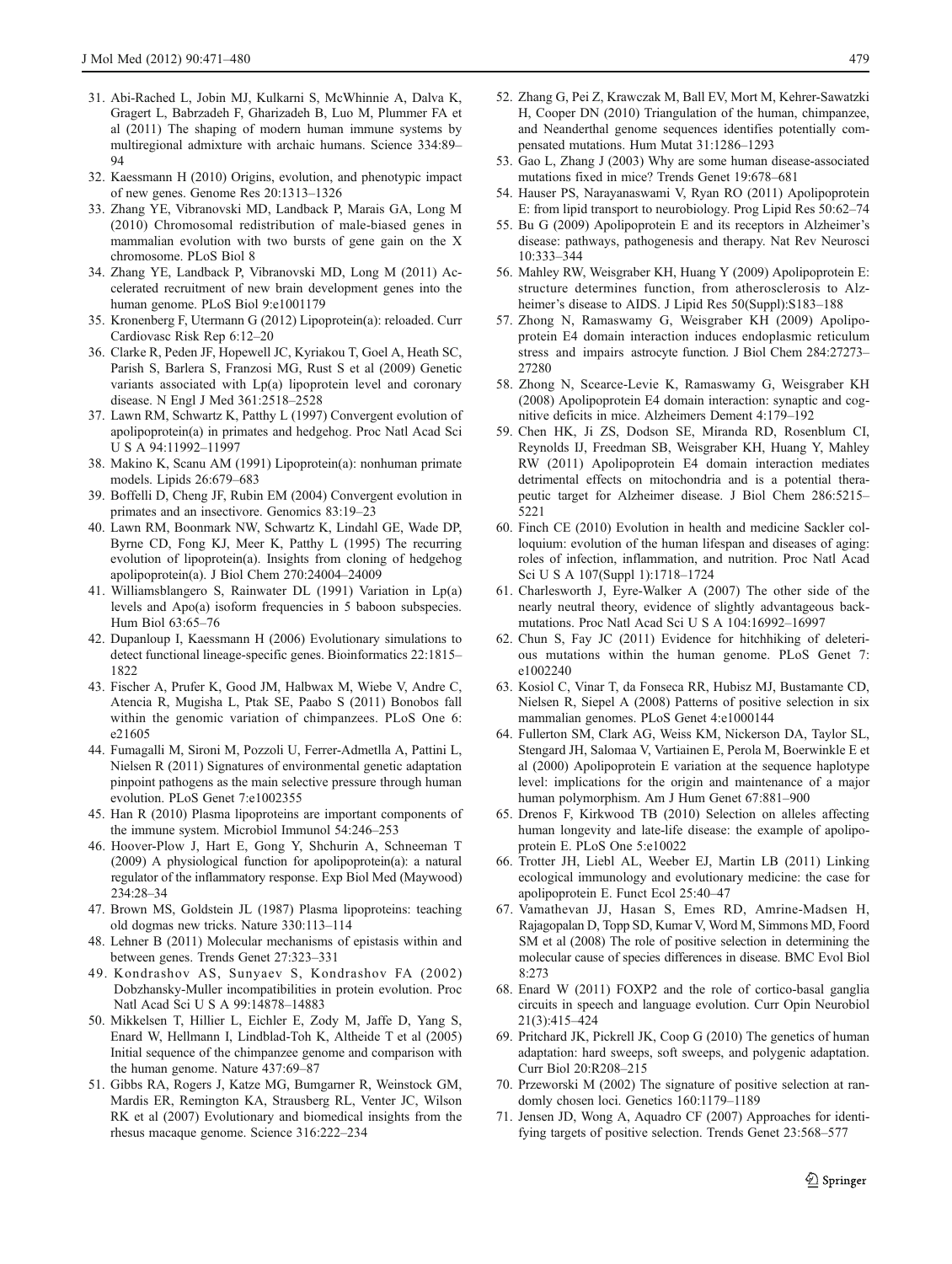- <span id="page-8-0"></span>31. Abi-Rached L, Jobin MJ, Kulkarni S, McWhinnie A, Dalva K, Gragert L, Babrzadeh F, Gharizadeh B, Luo M, Plummer FA et al (2011) The shaping of modern human immune systems by multiregional admixture with archaic humans. Science 334:89– 94
- 32. Kaessmann H (2010) Origins, evolution, and phenotypic impact of new genes. Genome Res 20:1313–1326
- 33. Zhang YE, Vibranovski MD, Landback P, Marais GA, Long M (2010) Chromosomal redistribution of male-biased genes in mammalian evolution with two bursts of gene gain on the X chromosome. PLoS Biol 8
- 34. Zhang YE, Landback P, Vibranovski MD, Long M (2011) Accelerated recruitment of new brain development genes into the human genome. PLoS Biol 9:e1001179
- 35. Kronenberg F, Utermann G (2012) Lipoprotein(a): reloaded. Curr Cardiovasc Risk Rep 6:12–20
- 36. Clarke R, Peden JF, Hopewell JC, Kyriakou T, Goel A, Heath SC, Parish S, Barlera S, Franzosi MG, Rust S et al (2009) Genetic variants associated with Lp(a) lipoprotein level and coronary disease. N Engl J Med 361:2518–2528
- 37. Lawn RM, Schwartz K, Patthy L (1997) Convergent evolution of apolipoprotein(a) in primates and hedgehog. Proc Natl Acad Sci U S A 94:11992–11997
- 38. Makino K, Scanu AM (1991) Lipoprotein(a): nonhuman primate models. Lipids 26:679–683
- 39. Boffelli D, Cheng JF, Rubin EM (2004) Convergent evolution in primates and an insectivore. Genomics 83:19–23
- 40. Lawn RM, Boonmark NW, Schwartz K, Lindahl GE, Wade DP, Byrne CD, Fong KJ, Meer K, Patthy L (1995) The recurring evolution of lipoprotein(a). Insights from cloning of hedgehog apolipoprotein(a). J Biol Chem 270:24004–24009
- 41. Williamsblangero S, Rainwater DL (1991) Variation in Lp(a) levels and Apo(a) isoform frequencies in 5 baboon subspecies. Hum Biol 63:65–76
- 42. Dupanloup I, Kaessmann H (2006) Evolutionary simulations to detect functional lineage-specific genes. Bioinformatics 22:1815– 1822
- 43. Fischer A, Prufer K, Good JM, Halbwax M, Wiebe V, Andre C, Atencia R, Mugisha L, Ptak SE, Paabo S (2011) Bonobos fall within the genomic variation of chimpanzees. PLoS One 6: e21605
- 44. Fumagalli M, Sironi M, Pozzoli U, Ferrer-Admetlla A, Pattini L, Nielsen R (2011) Signatures of environmental genetic adaptation pinpoint pathogens as the main selective pressure through human evolution. PLoS Genet 7:e1002355
- 45. Han R (2010) Plasma lipoproteins are important components of the immune system. Microbiol Immunol 54:246–253
- 46. Hoover-Plow J, Hart E, Gong Y, Shchurin A, Schneeman T (2009) A physiological function for apolipoprotein(a): a natural regulator of the inflammatory response. Exp Biol Med (Maywood) 234:28–34
- 47. Brown MS, Goldstein JL (1987) Plasma lipoproteins: teaching old dogmas new tricks. Nature 330:113–114
- 48. Lehner B (2011) Molecular mechanisms of epistasis within and between genes. Trends Genet 27:323–331
- 49. Kondrashov AS, Sunyaev S, Kondrashov FA (2002) Dobzhansky-Muller incompatibilities in protein evolution. Proc Natl Acad Sci U S A 99:14878–14883
- 50. Mikkelsen T, Hillier L, Eichler E, Zody M, Jaffe D, Yang S, Enard W, Hellmann I, Lindblad-Toh K, Altheide T et al (2005) Initial sequence of the chimpanzee genome and comparison with the human genome. Nature 437:69–87
- 51. Gibbs RA, Rogers J, Katze MG, Bumgarner R, Weinstock GM, Mardis ER, Remington KA, Strausberg RL, Venter JC, Wilson RK et al (2007) Evolutionary and biomedical insights from the rhesus macaque genome. Science 316:222–234
- 52. Zhang G, Pei Z, Krawczak M, Ball EV, Mort M, Kehrer-Sawatzki H, Cooper DN (2010) Triangulation of the human, chimpanzee, and Neanderthal genome sequences identifies potentially compensated mutations. Hum Mutat 31:1286–1293
- 53. Gao L, Zhang J (2003) Why are some human disease-associated mutations fixed in mice? Trends Genet 19:678–681
- 54. Hauser PS, Narayanaswami V, Ryan RO (2011) Apolipoprotein E: from lipid transport to neurobiology. Prog Lipid Res 50:62–74
- 55. Bu G (2009) Apolipoprotein E and its receptors in Alzheimer's disease: pathways, pathogenesis and therapy. Nat Rev Neurosci 10:333–344
- 56. Mahley RW, Weisgraber KH, Huang Y (2009) Apolipoprotein E: structure determines function, from atherosclerosis to Alzheimer's disease to AIDS. J Lipid Res 50(Suppl):S183–188
- 57. Zhong N, Ramaswamy G, Weisgraber KH (2009) Apolipoprotein E4 domain interaction induces endoplasmic reticulum stress and impairs astrocyte function. J Biol Chem 284:27273– 27280
- 58. Zhong N, Scearce-Levie K, Ramaswamy G, Weisgraber KH (2008) Apolipoprotein E4 domain interaction: synaptic and cognitive deficits in mice. Alzheimers Dement 4:179–192
- 59. Chen HK, Ji ZS, Dodson SE, Miranda RD, Rosenblum CI, Reynolds IJ, Freedman SB, Weisgraber KH, Huang Y, Mahley RW (2011) Apolipoprotein E4 domain interaction mediates detrimental effects on mitochondria and is a potential therapeutic target for Alzheimer disease. J Biol Chem 286:5215– 5221
- 60. Finch CE (2010) Evolution in health and medicine Sackler colloquium: evolution of the human lifespan and diseases of aging: roles of infection, inflammation, and nutrition. Proc Natl Acad Sci U S A 107(Suppl 1):1718–1724
- 61. Charlesworth J, Eyre-Walker A (2007) The other side of the nearly neutral theory, evidence of slightly advantageous backmutations. Proc Natl Acad Sci U S A 104:16992–16997
- 62. Chun S, Fay JC (2011) Evidence for hitchhiking of deleterious mutations within the human genome. PLoS Genet 7: e1002240
- 63. Kosiol C, Vinar T, da Fonseca RR, Hubisz MJ, Bustamante CD, Nielsen R, Siepel A (2008) Patterns of positive selection in six mammalian genomes. PLoS Genet 4:e1000144
- 64. Fullerton SM, Clark AG, Weiss KM, Nickerson DA, Taylor SL, Stengard JH, Salomaa V, Vartiainen E, Perola M, Boerwinkle E et al (2000) Apolipoprotein E variation at the sequence haplotype level: implications for the origin and maintenance of a major human polymorphism. Am J Hum Genet 67:881–900
- 65. Drenos F, Kirkwood TB (2010) Selection on alleles affecting human longevity and late-life disease: the example of apolipoprotein E. PLoS One 5:e10022
- 66. Trotter JH, Liebl AL, Weeber EJ, Martin LB (2011) Linking ecological immunology and evolutionary medicine: the case for apolipoprotein E. Funct Ecol 25:40–47
- 67. Vamathevan JJ, Hasan S, Emes RD, Amrine-Madsen H, Rajagopalan D, Topp SD, Kumar V, Word M, Simmons MD, Foord SM et al (2008) The role of positive selection in determining the molecular cause of species differences in disease. BMC Evol Biol 8:273
- 68. Enard W (2011) FOXP2 and the role of cortico-basal ganglia circuits in speech and language evolution. Curr Opin Neurobiol 21(3):415–424
- 69. Pritchard JK, Pickrell JK, Coop G (2010) The genetics of human adaptation: hard sweeps, soft sweeps, and polygenic adaptation. Curr Biol 20:R208–215
- 70. Przeworski M (2002) The signature of positive selection at randomly chosen loci. Genetics 160:1179–1189
- 71. Jensen JD, Wong A, Aquadro CF (2007) Approaches for identifying targets of positive selection. Trends Genet 23:568–577